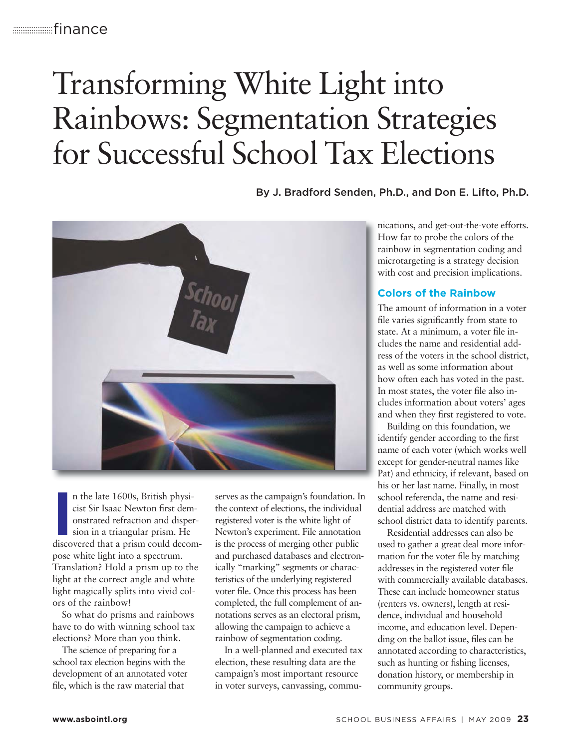# Transforming White Light into Rainbows: Segmentation Strategies for Successful School Tax Elections

By J. Bradford Senden, Ph.D., and Don E. Lifto, Ph.D.



In the late 1600s, British physicist Sir Isaac Newton first demonstrated refraction and dispersion in a triangular prism. He discovered that a prism could decomn the late 1600s, British physicist Sir Isaac Newton first demonstrated refraction and dispersion in a triangular prism. He pose white light into a spectrum. Translation? Hold a prism up to the light at the correct angle and white light magically splits into vivid colors of the rainbow!

So what do prisms and rainbows have to do with winning school tax elections? More than you think.

The science of preparing for a school tax election begins with the development of an annotated voter file, which is the raw material that

serves as the campaign's foundation. In the context of elections, the individual registered voter is the white light of Newton's experiment. File annotation is the process of merging other public and purchased databases and electronically "marking" segments or characteristics of the underlying registered voter file. Once this process has been completed, the full complement of annotations serves as an electoral prism, allowing the campaign to achieve a rainbow of segmentation coding.

In a well-planned and executed tax election, these resulting data are the campaign's most important resource in voter surveys, canvassing, communications, and get-out-the-vote efforts. How far to probe the colors of the rainbow in segmentation coding and microtargeting is a strategy decision with cost and precision implications.

#### **Colors of the Rainbow**

The amount of information in a voter file varies significantly from state to state. At a minimum, a voter file includes the name and residential add ress of the voters in the school district, as well as some information about how often each has voted in the past. In most states, the voter file also includes information about voters' ages and when they first registered to vote.

Building on this foundation, we identify gender according to the first name of each voter (which works well except for gender-neutral names like Pat) and ethnicity, if relevant, based on his or her last name. Finally, in most school referenda, the name and residential address are matched with school district data to identify parents.

Residential addresses can also be used to gather a great deal more information for the voter file by matching addresses in the registered voter file with commercially available databases. These can include homeowner status (renters vs. owners), length at residence, individual and household income, and education level. Depending on the ballot issue, files can be annotated according to characteristics, such as hunting or fishing licenses, donation history, or membership in community groups.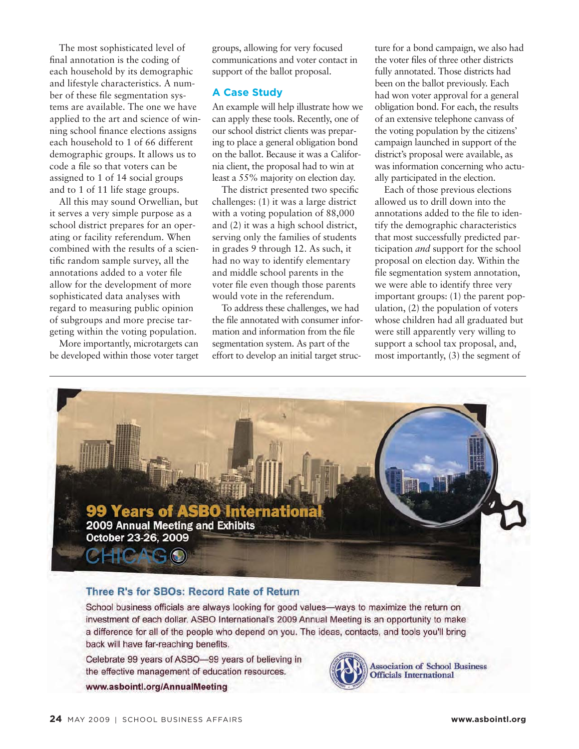The most sophisticated level of final annotation is the coding of each household by its demographic and lifestyle characteristics. A number of these file segmentation systems are available. The one we have applied to the art and science of winning school finance elections assigns each household to 1 of 66 different demographic groups. It allows us to code a file so that voters can be assigned to 1 of 14 social groups and to 1 of 11 life stage groups.

All this may sound Orwellian, but it serves a very simple purpose as a school district prepares for an operating or facility referendum. When combined with the results of a scientific random sample survey, all the annotations added to a voter file allow for the development of more sophisticated data analyses with regard to measuring public opinion of subgroups and more precise targeting within the voting population.

More importantly, microtargets can be developed within those voter target groups, allowing for very focused communications and voter contact in support of the ballot proposal.

#### **A Case Study**

An example will help illustrate how we can apply these tools. Recently, one of our school district clients was preparing to place a general obligation bond on the ballot. Because it was a California client, the proposal had to win at least a 55% majority on election day.

The district presented two specific challenges: (1) it was a large district with a voting population of 88,000 and (2) it was a high school district, serving only the families of students in grades 9 through 12. As such, it had no way to identify elementary and middle school parents in the voter file even though those parents would vote in the referendum.

To address these challenges, we had the file annotated with consumer information and information from the file segmentation system. As part of the effort to develop an initial target struc-

ture for a bond campaign, we also had the voter files of three other districts fully annotated. Those districts had been on the ballot previously. Each had won voter approval for a general obligation bond. For each, the results of an extensive telephone canvass of the voting population by the citizens' campaign launched in support of the district's proposal were available, as was information concerning who actually participated in the election.

Each of those previous elections allowed us to drill down into the annotations added to the file to identify the demographic characteristics that most successfully predicted participation *and* support for the school proposal on election day. Within the file segmentation system annotation, we were able to identify three very important groups: (1) the parent population, (2) the population of voters whose children had all graduated but were still apparently very willing to support a school tax proposal, and, most importantly, (3) the segment of



#### Three R's for SBOs: Record Rate of Return

School business officials are always looking for good values—ways to maximize the return on investment of each dollar. ASBO International's 2009 Annual Meeting is an opportunity to make a difference for all of the people who depend on you. The ideas, contacts, and tools you'll bring back will have far-reaching benefits.

Celebrate 99 years of ASBO-99 years of believing in the effective management of education resources.

www.asbointl.org/AnnualMeeting



**Association of School Business Officials International**